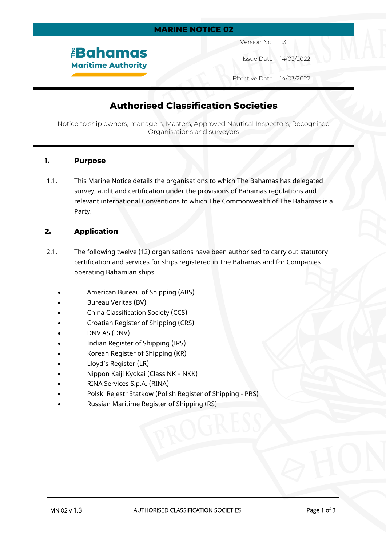#### **MARINE NOTICE 02**

*<u>EBahamas</u>* **Maritime Authority**  Version No. 1.3

Issue Date 14/03/2022

Effective Date 14/03/2022

# **Authorised Classification Societies**

Notice to ship owners, managers, Masters, Approved Nautical Inspectors, Recognised Organisations and surveyors

#### **1. Purpose**

1.1. This Marine Notice details the organisations to which The Bahamas has delegated survey, audit and certification under the provisions of Bahamas regulations and relevant international Conventions to which The Commonwealth of The Bahamas is a Party.

#### **2. Application**

- 2.1. The following twelve (12) organisations have been authorised to carry out statutory certification and services for ships registered in The Bahamas and for Companies operating Bahamian ships.
	- American Bureau of Shipping (ABS)
	- Bureau Veritas (BV)
	- China Classification Society (CCS)
	- Croatian Register of Shipping (CRS)
	- DNV AS (DNV)
	- Indian Register of Shipping (IRS)
	- Korean Register of Shipping (KR)
	- Lloyd's Register (LR)
	- Nippon Kaiji Kyokai (Class NK NKK)
	- RINA Services S.p.A. (RINA)
	- Polski Rejestr Statkow (Polish Register of Shipping PRS)
	- Russian Maritime Register of Shipping (RS)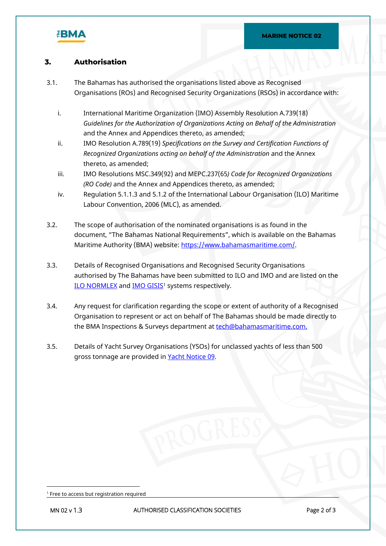

### **3. Authorisation**

- 3.1. The Bahamas has authorised the organisations listed above as Recognised Organisations (ROs) and Recognised Security Organizations (RSOs) in accordance with:
	- i. International Maritime Organization (IMO) Assembly Resolution A.739(18) *Guidelines for the Authorization of Organizations Acting on Behalf of the Administration* and the Annex and Appendices thereto, as amended;
	- ii. IMO Resolution A.789(19) *Specifications on the Survey and Certification Functions of Recognized Organizations acting on behalf of the Administration* and the Annex thereto, as amended;
	- iii. IMO Resolutions MSC.349(92) and MEPC.237(65*) Code for Recognized Organizations (RO Code)* and the Annex and Appendices thereto, as amended;
	- iv. Regulation 5.1.1.3 and 5.1.2 of the International Labour Organisation (ILO) Maritime Labour Convention, 2006 (MLC), as amended.
- 3.2. The scope of authorisation of the nominated organisations is as found in the document, "The Bahamas National Requirements", which is available on the Bahamas Maritime Authority (BMA) website: <https://www.bahamasmaritime.com/>.
- 3.3. Details of Recognised Organisations and Recognised Security Organisations authorised by The Bahamas have been submitted to ILO and IMO and are listed on the <u>ILO NORMLEX</u> and <u>IMO GISIS</u>1 systems respectively.
- 3.4. Any request for clarification regarding the scope or extent of authority of a Recognised Organisation to represent or act on behalf of The Bahamas should be made directly to the BMA Inspections & Surveys department at [tech@bahamasmaritime.com.](mailto:tech@bahamasmaritime.com)
- 3.5. Details of Yacht Survey Organisations (YSOs) for unclassed yachts of less than 500 gross tonnage are provided in [Yacht Notice 09](https://www.bahamasmaritime.com/wp-content/uploads/2021/07/YN009-Authorised-Yacht-Surveyors-v1.1.pdf).

<sup>1</sup> Free to access but registration required